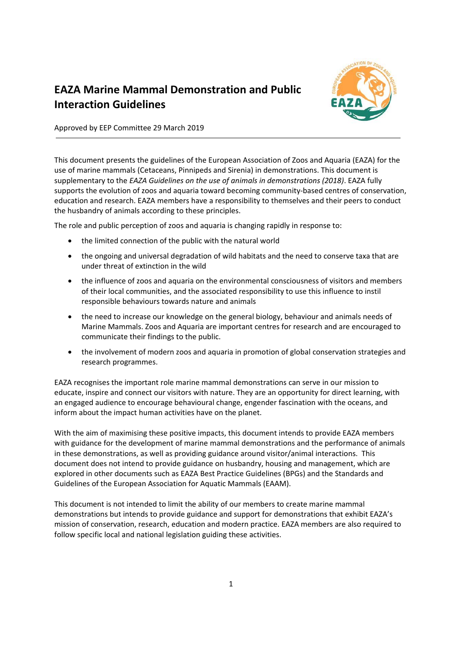

# **EAZA Marine Mammal Demonstration and Public Interaction Guidelines**

Approved by EEP Committee 29 March 2019

This document presents the guidelines of the European Association of Zoos and Aquaria (EAZA) for the use of marine mammals (Cetaceans, Pinnipeds and Sirenia) in demonstrations. This document is supplementary to the *EAZA Guidelines on the use of animals in demonstrations (2018)*. EAZA fully supports the evolution of zoos and aquaria toward becoming community-based centres of conservation, education and research. EAZA members have a responsibility to themselves and their peers to conduct the husbandry of animals according to these principles.

The role and public perception of zoos and aquaria is changing rapidly in response to:

- the limited connection of the public with the natural world
- the ongoing and universal degradation of wild habitats and the need to conserve taxa that are under threat of extinction in the wild
- the influence of zoos and aquaria on the environmental consciousness of visitors and members of their local communities, and the associated responsibility to use this influence to instil responsible behaviours towards nature and animals
- the need to increase our knowledge on the general biology, behaviour and animals needs of Marine Mammals. Zoos and Aquaria are important centres for research and are encouraged to communicate their findings to the public.
- the involvement of modern zoos and aquaria in promotion of global conservation strategies and research programmes.

EAZA recognises the important role marine mammal demonstrations can serve in our mission to educate, inspire and connect our visitors with nature. They are an opportunity for direct learning, with an engaged audience to encourage behavioural change, engender fascination with the oceans, and inform about the impact human activities have on the planet.

With the aim of maximising these positive impacts, this document intends to provide EAZA members with guidance for the development of marine mammal demonstrations and the performance of animals in these demonstrations, as well as providing guidance around visitor/animal interactions. This document does not intend to provide guidance on husbandry, housing and management, which are explored in other documents such as EAZA Best Practice Guidelines (BPGs) and the Standards and Guidelines of the European Association for Aquatic Mammals (EAAM).

This document is not intended to limit the ability of our members to create marine mammal demonstrations but intends to provide guidance and support for demonstrations that exhibit EAZA's mission of conservation, research, education and modern practice. EAZA members are also required to follow specific local and national legislation guiding these activities.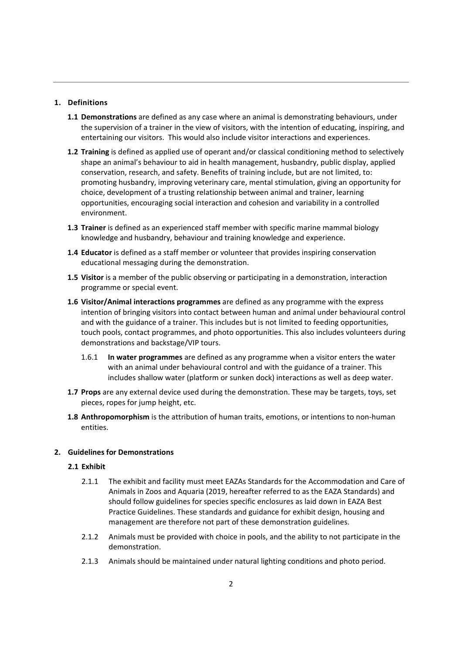## **1. Definitions**

- **1.1 Demonstrations** are defined as any case where an animal is demonstrating behaviours, under the supervision of a trainer in the view of visitors, with the intention of educating, inspiring, and entertaining our visitors. This would also include visitor interactions and experiences.
- **1.2 Training** is defined as applied use of operant and/or classical conditioning method to selectively shape an animal's behaviour to aid in health management, husbandry, public display, applied conservation, research, and safety. Benefits of training include, but are not limited, to: promoting husbandry, improving veterinary care, mental stimulation, giving an opportunity for choice, development of a trusting relationship between animal and trainer, learning opportunities, encouraging social interaction and cohesion and variability in a controlled environment.
- **1.3 Trainer** is defined as an experienced staff member with specific marine mammal biology knowledge and husbandry, behaviour and training knowledge and experience.
- **1.4 Educator** is defined as a staff member or volunteer that provides inspiring conservation educational messaging during the demonstration.
- **1.5 Visitor** is a member of the public observing or participating in a demonstration, interaction programme or special event.
- **1.6 Visitor/Animal interactions programmes** are defined as any programme with the express intention of bringing visitors into contact between human and animal under behavioural control and with the guidance of a trainer. This includes but is not limited to feeding opportunities, touch pools, contact programmes, and photo opportunities. This also includes volunteers during demonstrations and backstage/VIP tours.
	- 1.6.1 **In water programmes** are defined as any programme when a visitor enters the water with an animal under behavioural control and with the guidance of a trainer. This includes shallow water (platform or sunken dock) interactions as well as deep water.
- **1.7 Props** are any external device used during the demonstration. These may be targets, toys, set pieces, ropes for jump height, etc.
- **1.8 Anthropomorphism** is the attribution of human traits, emotions, or intentions to non‐human entities.

## **2. Guidelines for Demonstrations**

## **2.1 Exhibit**

- 2.1.1 The exhibit and facility must meet EAZAs Standards for the Accommodation and Care of Animals in Zoos and Aquaria (2019, hereafter referred to as the EAZA Standards) and should follow guidelines for species specific enclosures as laid down in EAZA Best Practice Guidelines. These standards and guidance for exhibit design, housing and management are therefore not part of these demonstration guidelines.
- 2.1.2 Animals must be provided with choice in pools, and the ability to not participate in the demonstration.
- 2.1.3 Animals should be maintained under natural lighting conditions and photo period.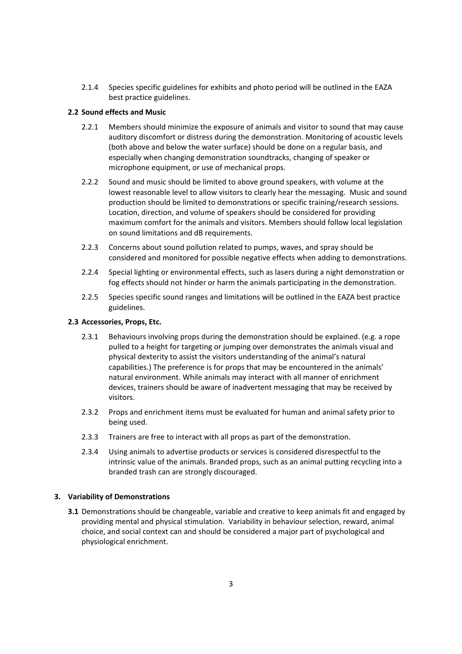2.1.4 Species specific guidelines for exhibits and photo period will be outlined in the EAZA best practice guidelines.

## **2.2 Sound effects and Music**

- 2.2.1 Members should minimize the exposure of animals and visitor to sound that may cause auditory discomfort or distress during the demonstration. Monitoring of acoustic levels (both above and below the water surface) should be done on a regular basis, and especially when changing demonstration soundtracks, changing of speaker or microphone equipment, or use of mechanical props.
- 2.2.2 Sound and music should be limited to above ground speakers, with volume at the lowest reasonable level to allow visitors to clearly hear the messaging. Music and sound production should be limited to demonstrations or specific training/research sessions. Location, direction, and volume of speakers should be considered for providing maximum comfort for the animals and visitors. Members should follow local legislation on sound limitations and dB requirements.
- 2.2.3 Concerns about sound pollution related to pumps, waves, and spray should be considered and monitored for possible negative effects when adding to demonstrations.
- 2.2.4 Special lighting or environmental effects, such as lasers during a night demonstration or fog effects should not hinder or harm the animals participating in the demonstration.
- 2.2.5 Species specific sound ranges and limitations will be outlined in the EAZA best practice guidelines.

## **2.3 Accessories, Props, Etc.**

- 2.3.1 Behaviours involving props during the demonstration should be explained. (e.g. a rope pulled to a height for targeting or jumping over demonstrates the animals visual and physical dexterity to assist the visitors understanding of the animal's natural capabilities.) The preference is for props that may be encountered in the animals' natural environment. While animals may interact with all manner of enrichment devices, trainers should be aware of inadvertent messaging that may be received by visitors.
- 2.3.2 Props and enrichment items must be evaluated for human and animal safety prior to being used.
- 2.3.3 Trainers are free to interact with all props as part of the demonstration.
- 2.3.4 Using animals to advertise products or services is considered disrespectful to the intrinsic value of the animals. Branded props, such as an animal putting recycling into a branded trash can are strongly discouraged.

## **3. Variability of Demonstrations**

**3.1** Demonstrations should be changeable, variable and creative to keep animals fit and engaged by providing mental and physical stimulation. Variability in behaviour selection, reward, animal choice, and social context can and should be considered a major part of psychological and physiological enrichment.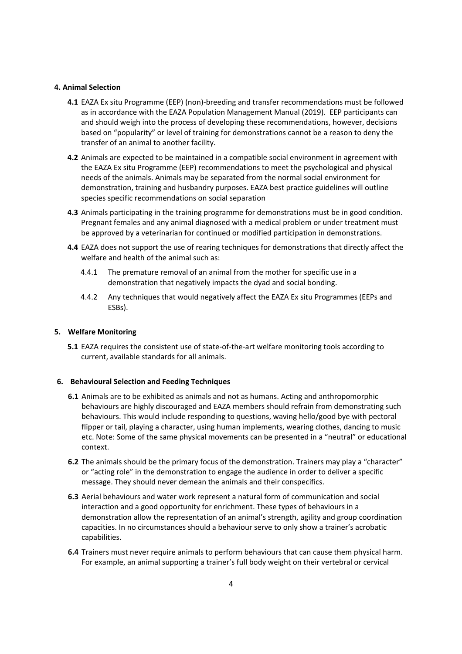#### **4. Animal Selection**

- **4.1** EAZA Ex situ Programme (EEP) (non)‐breeding and transfer recommendations must be followed as in accordance with the EAZA Population Management Manual (2019). EEP participants can and should weigh into the process of developing these recommendations, however, decisions based on "popularity" or level of training for demonstrations cannot be a reason to deny the transfer of an animal to another facility.
- **4.2** Animals are expected to be maintained in a compatible social environment in agreement with the EAZA Ex situ Programme (EEP) recommendations to meet the psychological and physical needs of the animals. Animals may be separated from the normal social environment for demonstration, training and husbandry purposes. EAZA best practice guidelines will outline species specific recommendations on social separation
- **4.3** Animals participating in the training programme for demonstrations must be in good condition. Pregnant females and any animal diagnosed with a medical problem or under treatment must be approved by a veterinarian for continued or modified participation in demonstrations.
- **4.4** EAZA does not support the use of rearing techniques for demonstrations that directly affect the welfare and health of the animal such as:
	- 4.4.1 The premature removal of an animal from the mother for specific use in a demonstration that negatively impacts the dyad and social bonding.
	- 4.4.2 Any techniques that would negatively affect the EAZA Ex situ Programmes (EEPs and ESBs).

## **5. Welfare Monitoring**

**5.1** EAZA requires the consistent use of state-of-the-art welfare monitoring tools according to current, available standards for all animals.

## **6. Behavioural Selection and Feeding Techniques**

- **6.1** Animals are to be exhibited as animals and not as humans. Acting and anthropomorphic behaviours are highly discouraged and EAZA members should refrain from demonstrating such behaviours. This would include responding to questions, waving hello/good bye with pectoral flipper or tail, playing a character, using human implements, wearing clothes, dancing to music etc. Note: Some of the same physical movements can be presented in a "neutral" or educational context.
- **6.2** The animals should be the primary focus of the demonstration. Trainers may play a "character" or "acting role" in the demonstration to engage the audience in order to deliver a specific message. They should never demean the animals and their conspecifics.
- **6.3** Aerial behaviours and water work represent a natural form of communication and social interaction and a good opportunity for enrichment. These types of behaviours in a demonstration allow the representation of an animal's strength, agility and group coordination capacities. In no circumstances should a behaviour serve to only show a trainer's acrobatic capabilities.
- **6.4** Trainers must never require animals to perform behaviours that can cause them physical harm. For example, an animal supporting a trainer's full body weight on their vertebral or cervical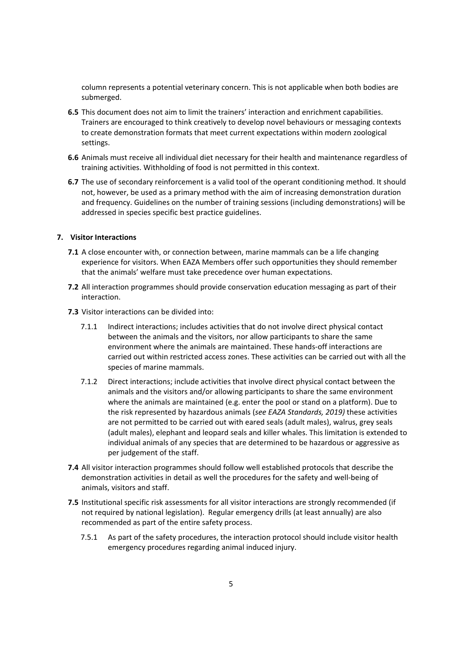column represents a potential veterinary concern. This is not applicable when both bodies are submerged.

- **6.5** This document does not aim to limit the trainers' interaction and enrichment capabilities. Trainers are encouraged to think creatively to develop novel behaviours or messaging contexts to create demonstration formats that meet current expectations within modern zoological settings.
- **6.6** Animals must receive all individual diet necessary for their health and maintenance regardless of training activities. Withholding of food is not permitted in this context.
- **6.7** The use of secondary reinforcement is a valid tool of the operant conditioning method. It should not, however, be used as a primary method with the aim of increasing demonstration duration and frequency. Guidelines on the number of training sessions (including demonstrations) will be addressed in species specific best practice guidelines.

## **7. Visitor Interactions**

- **7.1** A close encounter with, or connection between, marine mammals can be a life changing experience for visitors. When EAZA Members offer such opportunities they should remember that the animals' welfare must take precedence over human expectations.
- **7.2** All interaction programmes should provide conservation education messaging as part of their interaction.
- **7.3** Visitor interactions can be divided into:
	- 7.1.1 Indirect interactions; includes activities that do not involve direct physical contact between the animals and the visitors, nor allow participants to share the same environment where the animals are maintained. These hands‐off interactions are carried out within restricted access zones. These activities can be carried out with all the species of marine mammals.
	- 7.1.2 Direct interactions; include activities that involve direct physical contact between the animals and the visitors and/or allowing participants to share the same environment where the animals are maintained (e.g. enter the pool or stand on a platform). Due to the risk represented by hazardous animals (*see EAZA Standards, 2019)* these activities are not permitted to be carried out with eared seals (adult males), walrus, grey seals (adult males), elephant and leopard seals and killer whales. This limitation is extended to individual animals of any species that are determined to be hazardous or aggressive as per judgement of the staff.
- **7.4** All visitor interaction programmes should follow well established protocols that describe the demonstration activities in detail as well the procedures for the safety and well‐being of animals, visitors and staff.
- **7.5** Institutional specific risk assessments for all visitor interactions are strongly recommended (if not required by national legislation). Regular emergency drills (at least annually) are also recommended as part of the entire safety process.
	- 7.5.1 As part of the safety procedures, the interaction protocol should include visitor health emergency procedures regarding animal induced injury.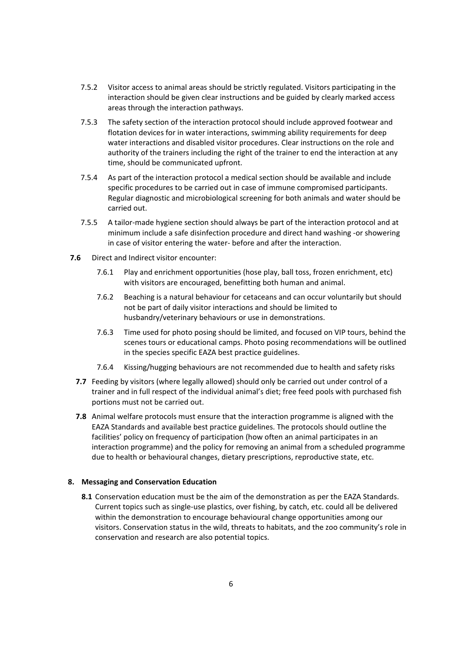- 7.5.2 Visitor access to animal areas should be strictly regulated. Visitors participating in the interaction should be given clear instructions and be guided by clearly marked access areas through the interaction pathways.
- 7.5.3 The safety section of the interaction protocol should include approved footwear and flotation devices for in water interactions, swimming ability requirements for deep water interactions and disabled visitor procedures. Clear instructions on the role and authority of the trainers including the right of the trainer to end the interaction at any time, should be communicated upfront.
- 7.5.4 As part of the interaction protocol a medical section should be available and include specific procedures to be carried out in case of immune compromised participants. Regular diagnostic and microbiological screening for both animals and water should be carried out.
- 7.5.5 A tailor-made hygiene section should always be part of the interaction protocol and at minimum include a safe disinfection procedure and direct hand washing ‐or showering in case of visitor entering the water‐ before and after the interaction.
- **7.6** Direct and Indirect visitor encounter:
	- 7.6.1 Play and enrichment opportunities (hose play, ball toss, frozen enrichment, etc) with visitors are encouraged, benefitting both human and animal.
	- 7.6.2 Beaching is a natural behaviour for cetaceans and can occur voluntarily but should not be part of daily visitor interactions and should be limited to husbandry/veterinary behaviours or use in demonstrations.
	- 7.6.3 Time used for photo posing should be limited, and focused on VIP tours, behind the scenes tours or educational camps. Photo posing recommendations will be outlined in the species specific EAZA best practice guidelines.
	- 7.6.4 Kissing/hugging behaviours are not recommended due to health and safety risks
	- **7.7** Feeding by visitors (where legally allowed) should only be carried out under control of a trainer and in full respect of the individual animal's diet; free feed pools with purchased fish portions must not be carried out.
	- **7.8** Animal welfare protocols must ensure that the interaction programme is aligned with the EAZA Standards and available best practice guidelines. The protocols should outline the facilities' policy on frequency of participation (how often an animal participates in an interaction programme) and the policy for removing an animal from a scheduled programme due to health or behavioural changes, dietary prescriptions, reproductive state, etc.

## **8. Messaging and Conservation Education**

**8.1** Conservation education must be the aim of the demonstration as per the EAZA Standards. Current topics such as single‐use plastics, over fishing, by catch, etc. could all be delivered within the demonstration to encourage behavioural change opportunities among our visitors. Conservation status in the wild, threats to habitats, and the zoo community's role in conservation and research are also potential topics.